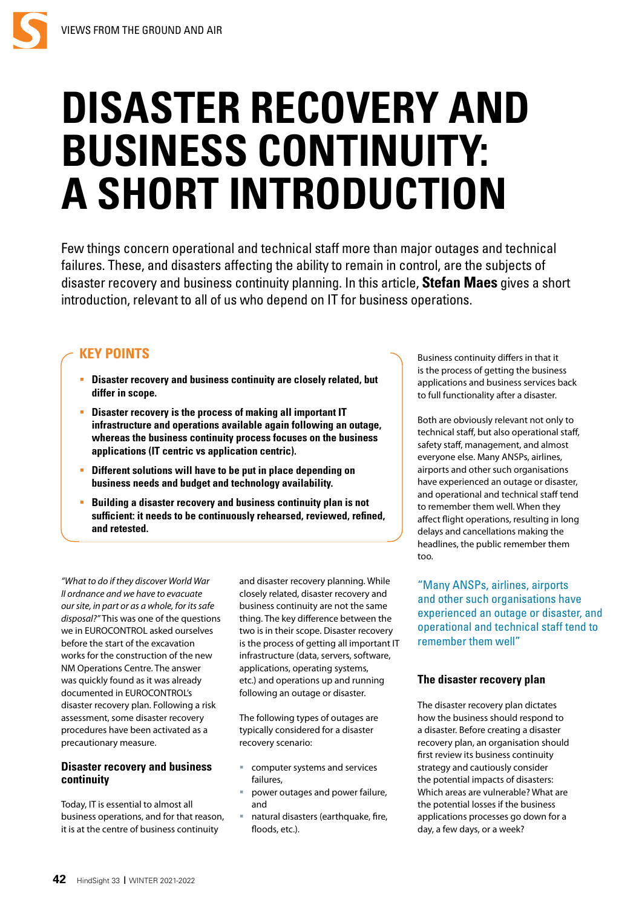# **DISASTER RECOVERY AND BUSINESS CONTINUITY: A SHORT INTRODUCTION**

Few things concern operational and technical staff more than major outages and technical failures. These, and disasters affecting the ability to remain in control, are the subjects of disaster recovery and business continuity planning. In this article, **Stefan Maes** gives a short introduction, relevant to all of us who depend on IT for business operations.

## **KEY POINTS**

- **Disaster recovery and business continuity are closely related, but differ in scope.**
- **Disaster recovery is the process of making all important IT infrastructure and operations available again following an outage, whereas the business continuity process focuses on the business applications (IT centric vs application centric).**
- **Different solutions will have to be put in place depending on business needs and budget and technology availability.**
- **Building a disaster recovery and business continuity plan is not sufficient: it needs to be continuously rehearsed, reviewed, refined, and retested.**

*"What to do if they discover World War II ordnance and we have to evacuate our site, in part or as a whole, for its safe disposal?"* This was one of the questions we in EUROCONTROL asked ourselves before the start of the excavation works for the construction of the new NM Operations Centre. The answer was quickly found as it was already documented in EUROCONTROL's disaster recovery plan. Following a risk assessment, some disaster recovery procedures have been activated as a precautionary measure.

## **Disaster recovery and business continuity**

Today, IT is essential to almost all business operations, and for that reason, it is at the centre of business continuity

and disaster recovery planning. While closely related, disaster recovery and business continuity are not the same thing. The key difference between the two is in their scope. Disaster recovery is the process of getting all important IT infrastructure (data, servers, software, applications, operating systems, etc.) and operations up and running following an outage or disaster.

The following types of outages are typically considered for a disaster recovery scenario:

- computer systems and services failures,
- power outages and power failure, and
- natural disasters (earthquake, fire, floods, etc.).

Business continuity differs in that it is the process of getting the business applications and business services back to full functionality after a disaster.

Both are obviously relevant not only to technical staff, but also operational staff, safety staff, management, and almost everyone else. Many ANSPs, airlines, airports and other such organisations have experienced an outage or disaster, and operational and technical staff tend to remember them well. When they affect flight operations, resulting in long delays and cancellations making the headlines, the public remember them too.

"Many ANSPs, airlines, airports and other such organisations have experienced an outage or disaster, and operational and technical staff tend to remember them well"

## **The disaster recovery plan**

The disaster recovery plan dictates how the business should respond to a disaster. Before creating a disaster recovery plan, an organisation should first review its business continuity strategy and cautiously consider the potential impacts of disasters: Which areas are vulnerable? What are the potential losses if the business applications processes go down for a day, a few days, or a week?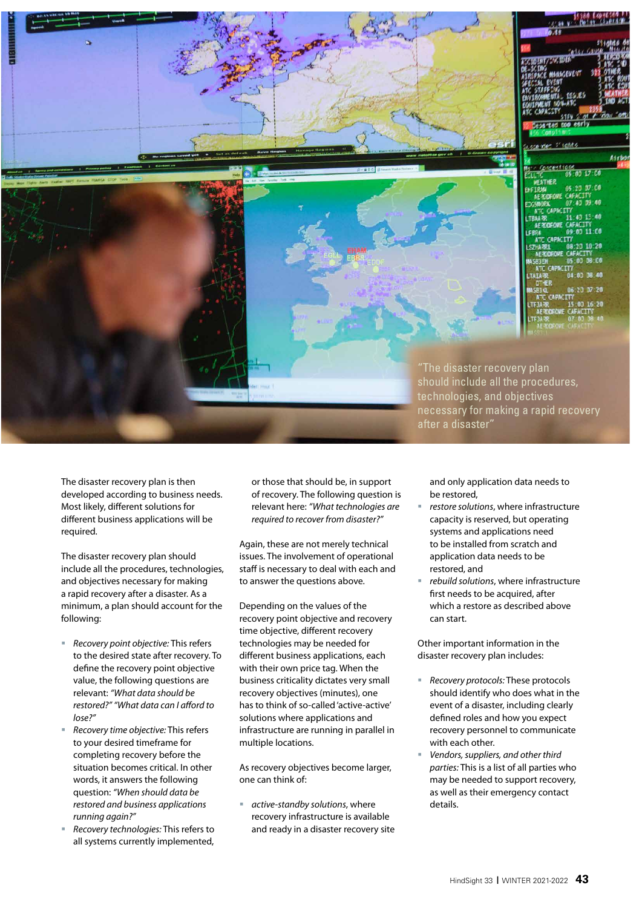

The disaster recovery plan is then developed according to business needs. Most likely, different solutions for different business applications will be required.

The disaster recovery plan should include all the procedures, technologies, and objectives necessary for making a rapid recovery after a disaster. As a minimum, a plan should account for the following:

- *Recovery point objective:* This refers to the desired state after recovery. To define the recovery point objective value, the following questions are relevant: *"What data should be restored?" "What data can I a*ff*ord to lose?"*
- *Recovery time objective:* This refers to your desired timeframe for completing recovery before the situation becomes critical. In other words, it answers the following question: *"When should data be restored and business applications running again?"*
- *Recovery technologies:* This refers to all systems currently implemented,

or those that should be, in support of recovery. The following question is relevant here: *"What technologies are required to recover from disaster?"*

Again, these are not merely technical issues. The involvement of operational staff is necessary to deal with each and to answer the questions above.

Depending on the values of the recovery point objective and recovery time objective, different recovery technologies may be needed for different business applications, each with their own price tag. When the business criticality dictates very small recovery objectives (minutes), one has to think of so-called 'active-active' solutions where applications and infrastructure are running in parallel in multiple locations.

As recovery objectives become larger, one can think of:

 *active-standby solutions*, where recovery infrastructure is available and ready in a disaster recovery site

and only application data needs to be restored,

- *restore solutions*, where infrastructure capacity is reserved, but operating systems and applications need to be installed from scratch and application data needs to be restored, and
- *rebuild solutions*, where infrastructure first needs to be acquired, after which a restore as described above can start.

Other important information in the disaster recovery plan includes:

- *Recovery protocols:* These protocols should identify who does what in the event of a disaster, including clearly defined roles and how you expect recovery personnel to communicate with each other.
- *Vendors, suppliers, and other third parties:* This is a list of all parties who may be needed to support recovery, as well as their emergency contact details.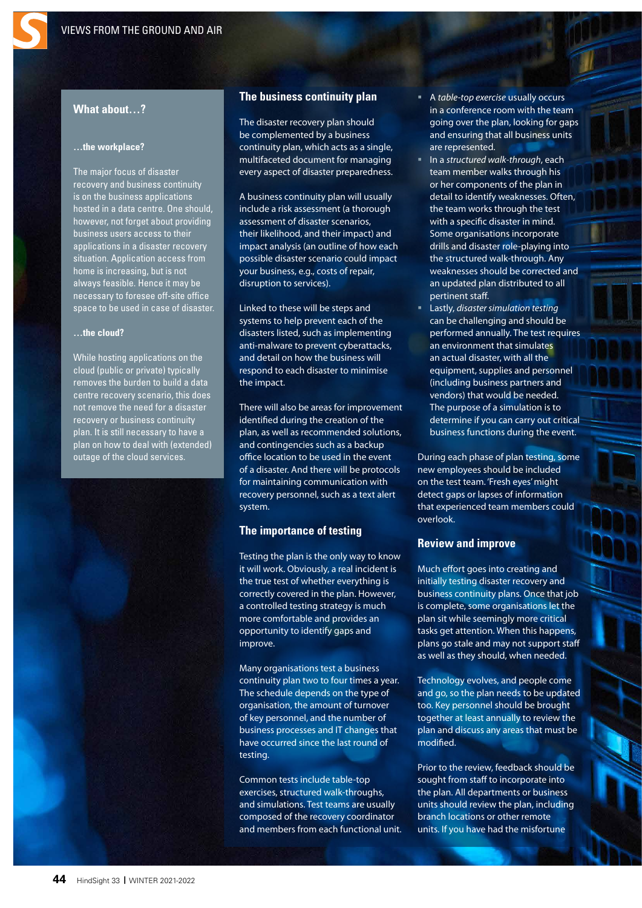## **What about…?**

#### **…the workplace?**

The major focus of disaster recovery and business continuity is on the business applications hosted in a data centre. One should, however, not forget about providing business users access to their applications in a disaster recovery situation. Application access from home is increasing, but is not always feasible. Hence it may be necessary to foresee off-site office space to be used in case of disaster.

#### **…the cloud?**

While hosting applications on the cloud (public or private) typically removes the burden to build a data centre recovery scenario, this does not remove the need for a disaster recovery or business continuity plan. It is still necessary to have a plan on how to deal with (extended) outage of the cloud services.

#### **The business continuity plan**

The disaster recovery plan should be complemented by a business continuity plan, which acts as a single, multifaceted document for managing every aspect of disaster preparedness.

A business continuity plan will usually include a risk assessment (a thorough assessment of disaster scenarios, their likelihood, and their impact) and impact analysis (an outline of how each possible disaster scenario could impact your business, e.g., costs of repair, disruption to services).

Linked to these will be steps and systems to help prevent each of the disasters listed, such as implementing anti-malware to prevent cyberattacks, and detail on how the business will respond to each disaster to minimise the impact.

There will also be areas for improvement identified during the creation of the plan, as well as recommended solutions, and contingencies such as a backup office location to be used in the event of a disaster. And there will be protocols for maintaining communication with recovery personnel, such as a text alert system.

#### **The importance of testing**

Testing the plan is the only way to know it will work. Obviously, a real incident is the true test of whether everything is correctly covered in the plan. However, a controlled testing strategy is much more comfortable and provides an opportunity to identify gaps and improve.

Many organisations test a business continuity plan two to four times a year. The schedule depends on the type of organisation, the amount of turnover of key personnel, and the number of business processes and IT changes that have occurred since the last round of testing.

Common tests include table-top exercises, structured walk-throughs, and simulations. Test teams are usually composed of the recovery coordinator and members from each functional unit.

- A *table-top exercise* usually occurs in a conference room with the team going over the plan, looking for gaps and ensuring that all business units are represented.
- In a *structured walk-through*, each team member walks through his or her components of the plan in detail to identify weaknesses. Often, the team works through the test with a specific disaster in mind. Some organisations incorporate drills and disaster role-playing into the structured walk-through. Any weaknesses should be corrected and an updated plan distributed to all pertinent staff.
- Lastly, *disaster simulation testing* can be challenging and should be performed annually. The test requires an environment that simulates an actual disaster, with all the equipment, supplies and personnel (including business partners and vendors) that would be needed. The purpose of a simulation is to determine if you can carry out critical business functions during the event.

During each phase of plan testing, some new employees should be included on the test team. 'Fresh eyes' might detect gaps or lapses of information that experienced team members could overlook.

#### **Review and improve**

Much effort goes into creating and initially testing disaster recovery and business continuity plans. Once that job is complete, some organisations let the plan sit while seemingly more critical tasks get attention. When this happens, plans go stale and may not support staff as well as they should, when needed.

Technology evolves, and people come and go, so the plan needs to be updated too. Key personnel should be brought together at least annually to review the plan and discuss any areas that must be modified.

Prior to the review, feedback should be sought from staff to incorporate into the plan. All departments or business units should review the plan, including branch locations or other remote units. If you have had the misfortune